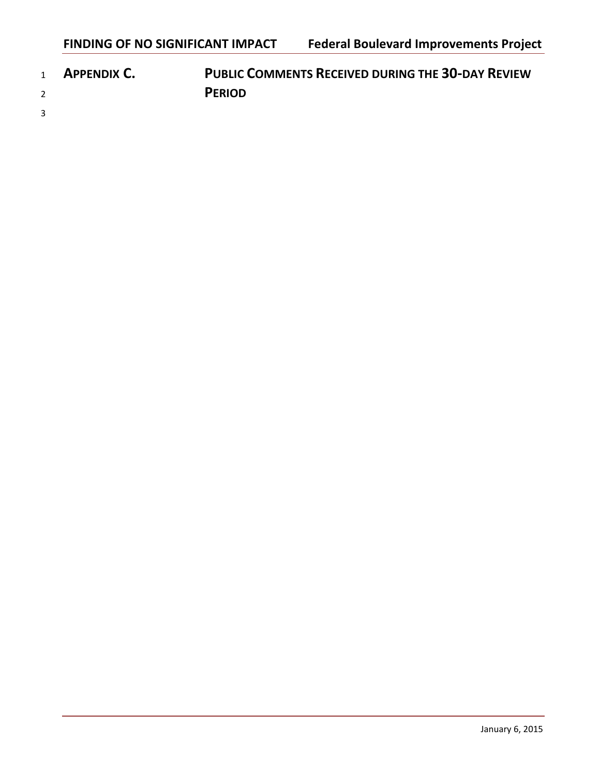- <sup>1</sup> **APPENDIX C. PUBLIC COMMENTS RECEIVED DURING THE 30‐DAY REVIEW** <sup>2</sup> **PERIOD**
- <sup>3</sup>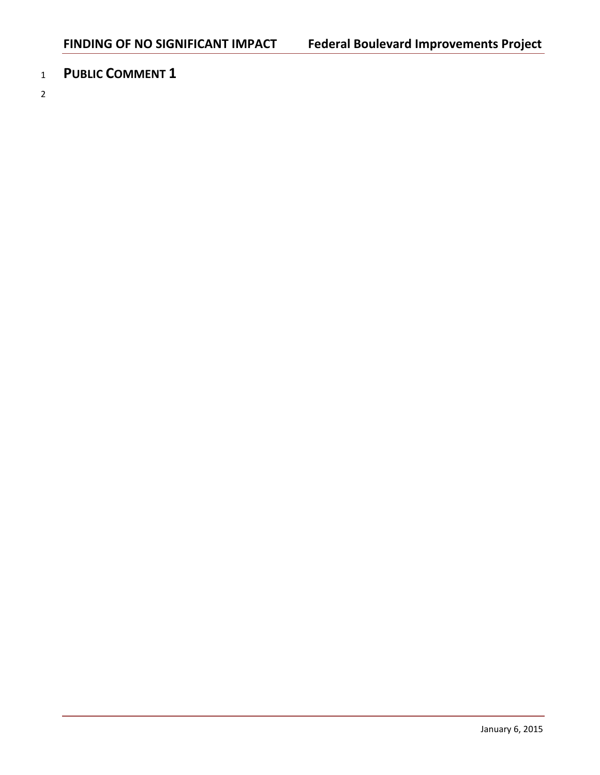<sup>1</sup> **PUBLIC COMMENT 1**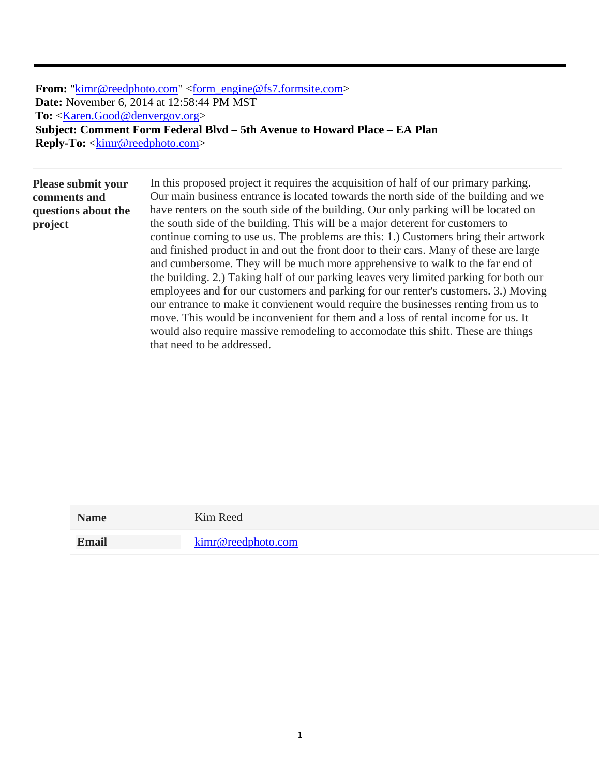**From:** "kimr@reedphoto.com" <form\_engine@fs7.formsite.com> **Date:** November 6, 2014 at 12:58:44 PM MST **To:** <Karen.Good@denvergov.org> **Subject: Comment Form Federal Blvd – 5th Avenue to Howard Place – EA Plan Reply-To:** <kimr@reedphoto.com>

**Please submit your comments and questions about the project** 

In this proposed project it requires the acquisition of half of our primary parking. Our main business entrance is located towards the north side of the building and we have renters on the south side of the building. Our only parking will be located on the south side of the building. This will be a major deterent for customers to continue coming to use us. The problems are this: 1.) Customers bring their artwork and finished product in and out the front door to their cars. Many of these are large and cumbersome. They will be much more apprehensive to walk to the far end of the building. 2.) Taking half of our parking leaves very limited parking for both our employees and for our customers and parking for our renter's customers. 3.) Moving our entrance to make it convienent would require the businesses renting from us to move. This would be inconvenient for them and a loss of rental income for us. It would also require massive remodeling to accomodate this shift. These are things that need to be addressed.

| <b>Name</b>  | Kim Reed           |
|--------------|--------------------|
| <b>Email</b> | kimr@reedphoto.com |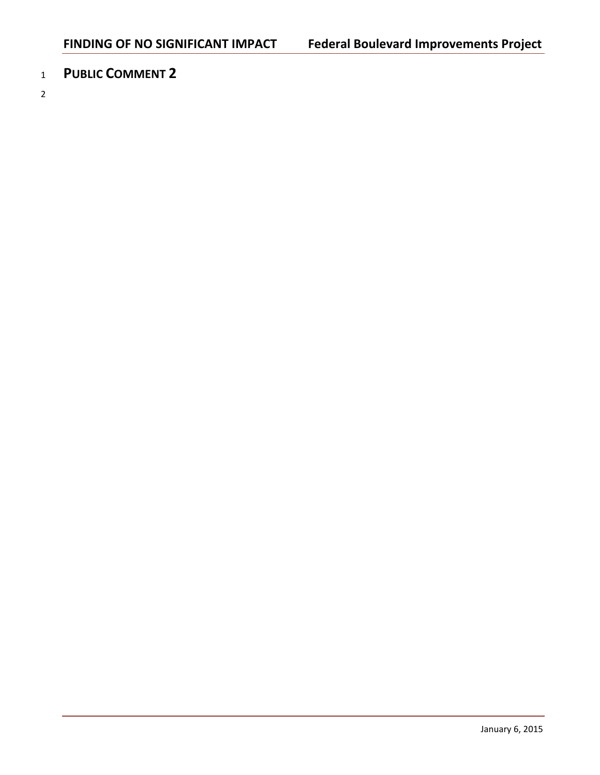<sup>1</sup> **PUBLIC COMMENT 2**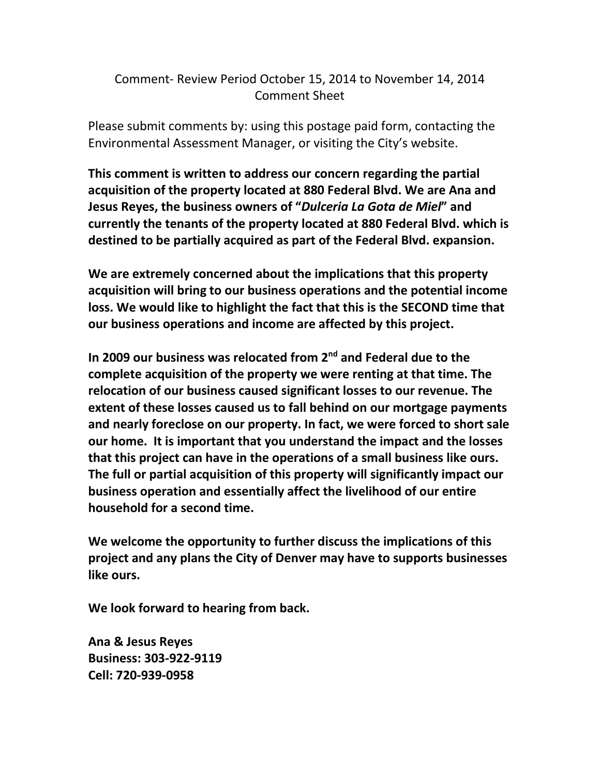## Comment- Review Period October 15, 2014 to November 14, 2014 Comment Sheet

Please submit comments by: using this postage paid form, contacting the Environmental Assessment Manager, or visiting the City's website.

**This comment is written to address our concern regarding the partial acquisition of the property located at 880 Federal Blvd. We are Ana and Jesus Reyes, the business owners of "***Dulceria La Gota de Miel***" and currently the tenants of the property located at 880 Federal Blvd. which is destined to be partially acquired as part of the Federal Blvd. expansion.** 

**We are extremely concerned about the implications that this property acquisition will bring to our business operations and the potential income loss. We would like to highlight the fact that this is the SECOND time that our business operations and income are affected by this project.** 

**In 2009 our business was relocated from 2nd and Federal due to the complete acquisition of the property we were renting at that time. The relocation of our business caused significant losses to our revenue. The extent of these losses caused us to fall behind on our mortgage payments and nearly foreclose on our property. In fact, we were forced to short sale our home. It is important that you understand the impact and the losses that this project can have in the operations of a small business like ours. The full or partial acquisition of this property will significantly impact our business operation and essentially affect the livelihood of our entire household for a second time.** 

**We welcome the opportunity to further discuss the implications of this project and any plans the City of Denver may have to supports businesses like ours.** 

**We look forward to hearing from back.** 

**Ana & Jesus Reyes Business: 303-922-9119 Cell: 720-939-0958**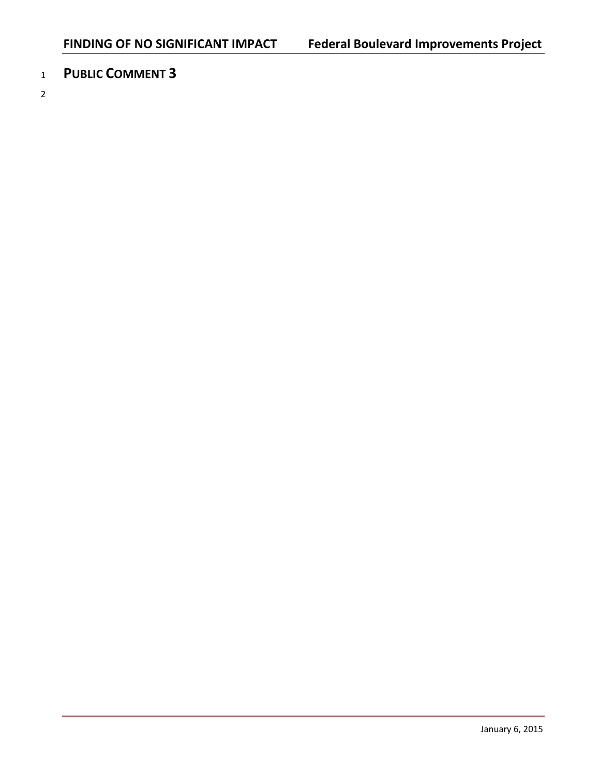<sup>1</sup> **PUBLIC COMMENT 3**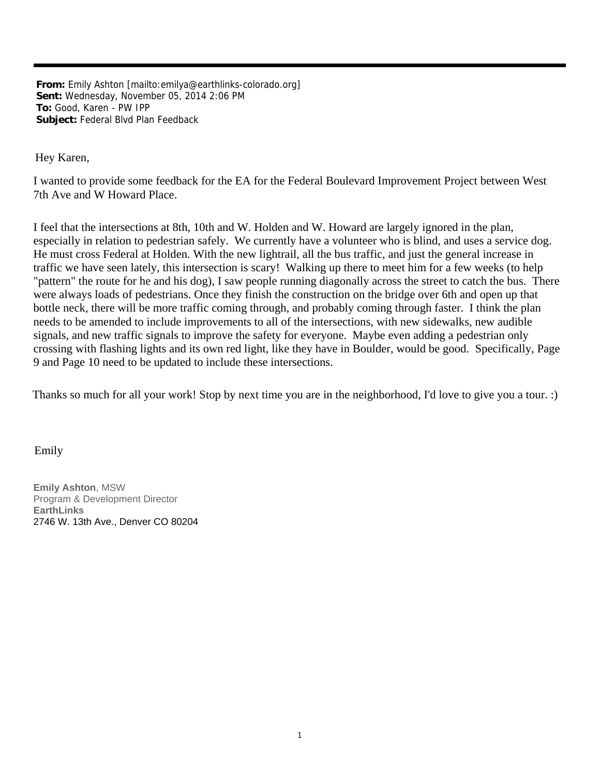**From:** Emily Ashton [mailto:emilya@earthlinks-colorado.org] **Sent:** Wednesday, November 05, 2014 2:06 PM **To:** Good, Karen - PW IPP **Subject:** Federal Blvd Plan Feedback

Hey Karen,

I wanted to provide some feedback for the EA for the Federal Boulevard Improvement Project between West 7th Ave and W Howard Place.

I feel that the intersections at 8th, 10th and W. Holden and W. Howard are largely ignored in the plan, especially in relation to pedestrian safely. We currently have a volunteer who is blind, and uses a service dog. He must cross Federal at Holden. With the new lightrail, all the bus traffic, and just the general increase in traffic we have seen lately, this intersection is scary! Walking up there to meet him for a few weeks (to help "pattern" the route for he and his dog), I saw people running diagonally across the street to catch the bus. There were always loads of pedestrians. Once they finish the construction on the bridge over 6th and open up that bottle neck, there will be more traffic coming through, and probably coming through faster. I think the plan needs to be amended to include improvements to all of the intersections, with new sidewalks, new audible signals, and new traffic signals to improve the safety for everyone. Maybe even adding a pedestrian only crossing with flashing lights and its own red light, like they have in Boulder, would be good. Specifically, Page 9 and Page 10 need to be updated to include these intersections.

Thanks so much for all your work! Stop by next time you are in the neighborhood, I'd love to give you a tour. :)

Emily

**Emily Ashton**, MSW Program & Development Director **EarthLinks** 2746 W. 13th Ave., Denver CO 80204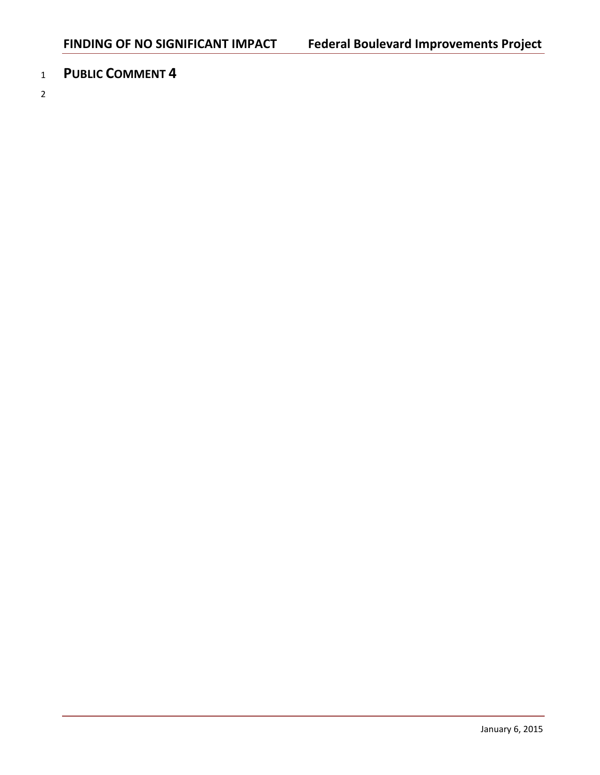<sup>1</sup> **PUBLIC COMMENT 4**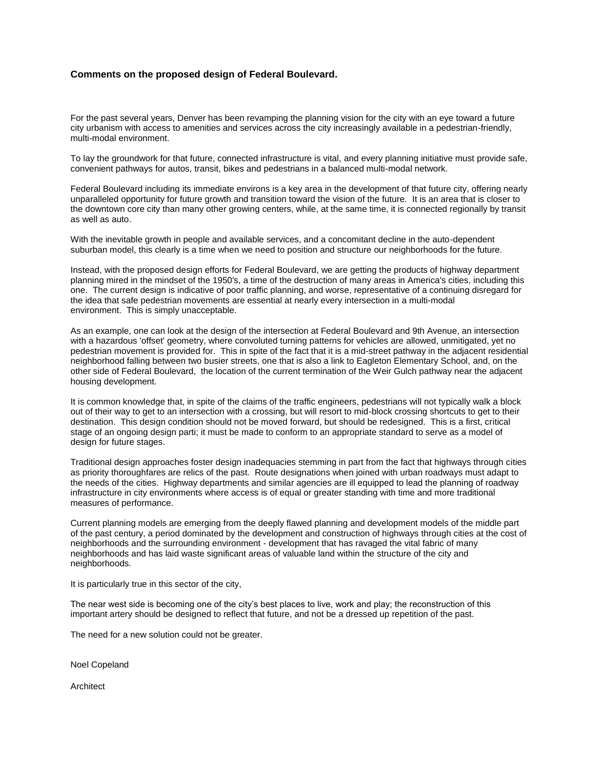#### **Comments on the proposed design of Federal Boulevard.**

For the past several years, Denver has been revamping the planning vision for the city with an eye toward a future city urbanism with access to amenities and services across the city increasingly available in a pedestrian-friendly, multi-modal environment.

To lay the groundwork for that future, connected infrastructure is vital, and every planning initiative must provide safe, convenient pathways for autos, transit, bikes and pedestrians in a balanced multi-modal network.

Federal Boulevard including its immediate environs is a key area in the development of that future city, offering nearly unparalleled opportunity for future growth and transition toward the vision of the future. It is an area that is closer to the downtown core city than many other growing centers, while, at the same time, it is connected regionally by transit as well as auto.

With the inevitable growth in people and available services, and a concomitant decline in the auto-dependent suburban model, this clearly is a time when we need to position and structure our neighborhoods for the future.

Instead, with the proposed design efforts for Federal Boulevard, we are getting the products of highway department planning mired in the mindset of the 1950's, a time of the destruction of many areas in America's cities, including this one. The current design is indicative of poor traffic planning, and worse, representative of a continuing disregard for the idea that safe pedestrian movements are essential at nearly every intersection in a multi-modal environment. This is simply unacceptable.

As an example, one can look at the design of the intersection at Federal Boulevard and 9th Avenue, an intersection with a hazardous 'offset' geometry, where convoluted turning patterns for vehicles are allowed, unmitigated, yet no pedestrian movement is provided for. This in spite of the fact that it is a mid-street pathway in the adjacent residential neighborhood falling between two busier streets, one that is also a link to Eagleton Elementary School, and, on the other side of Federal Boulevard, the location of the current termination of the Weir Gulch pathway near the adjacent housing development.

It is common knowledge that, in spite of the claims of the traffic engineers, pedestrians will not typically walk a block out of their way to get to an intersection with a crossing, but will resort to mid-block crossing shortcuts to get to their destination. This design condition should not be moved forward, but should be redesigned. This is a first, critical stage of an ongoing design parti; it must be made to conform to an appropriate standard to serve as a model of design for future stages.

Traditional design approaches foster design inadequacies stemming in part from the fact that highways through cities as priority thoroughfares are relics of the past. Route designations when joined with urban roadways must adapt to the needs of the cities. Highway departments and similar agencies are ill equipped to lead the planning of roadway infrastructure in city environments where access is of equal or greater standing with time and more traditional measures of performance.

Current planning models are emerging from the deeply flawed planning and development models of the middle part of the past century, a period dominated by the development and construction of highways through cities at the cost of neighborhoods and the surrounding environment - development that has ravaged the vital fabric of many neighborhoods and has laid waste significant areas of valuable land within the structure of the city and neighborhoods.

It is particularly true in this sector of the city,

The near west side is becoming one of the city's best places to live, work and play; the reconstruction of this important artery should be designed to reflect that future, and not be a dressed up repetition of the past.

The need for a new solution could not be greater.

Noel Copeland

Architect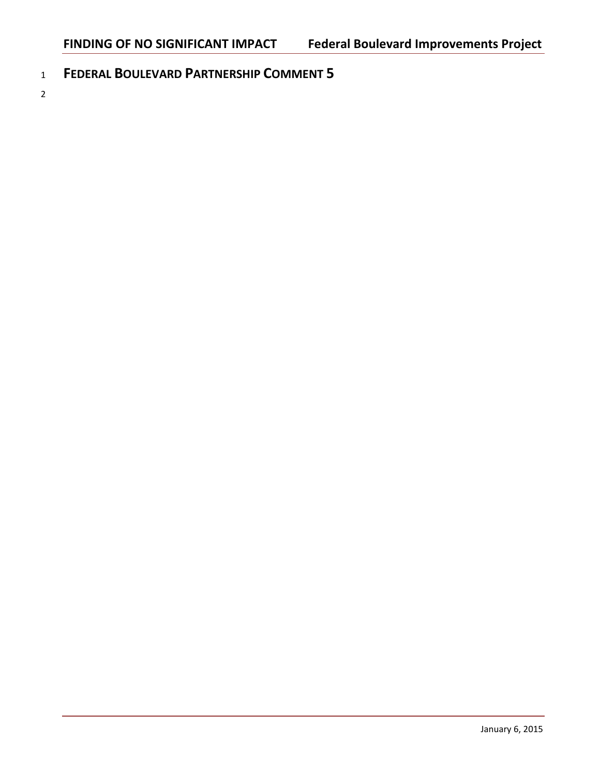- <sup>1</sup> **FEDERAL BOULEVARD PARTNERSHIP COMMENT 5**
- <sup>2</sup>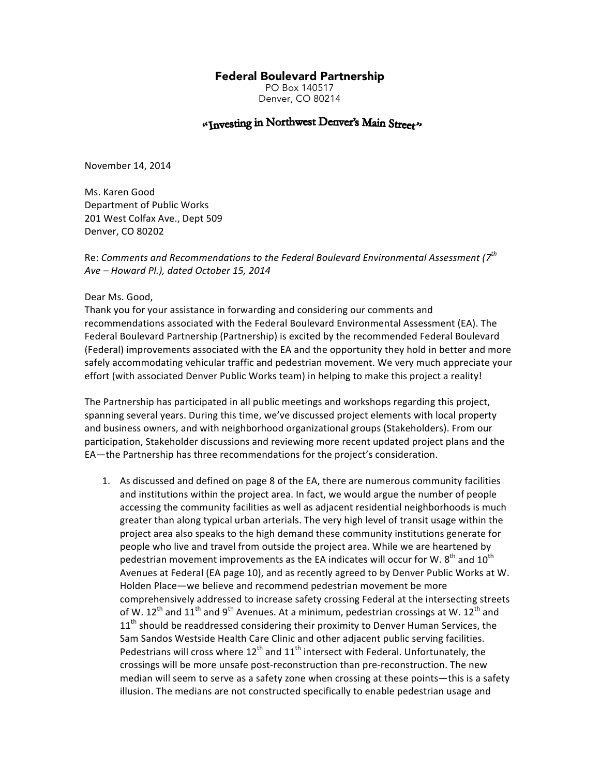### Federal Boulevard Partnership

PO Box 140517 Denver, CO 80214

### "Investing in Northwest Denver's Main Street"

November 14, 2014

Ms. Karen Good Department of Public Works 201 West Colfax Ave., Dept 509 Denver, CO 80202

Re: Comments and Recommendations to the Federal Boulevard Environmental Assessment (7<sup>th</sup> *Ave – Howard Pl.), dated October 15, 2014*

#### Dear Ms. Good,

Thank you for your assistance in forwarding and considering our comments and recommendations associated with the Federal Boulevard Environmental Assessment (EA). The Federal Boulevard Partnership (Partnership) is excited by the recommended Federal Boulevard (Federal) improvements associated with the EA and the opportunity they hold in better and more safely accommodating vehicular traffic and pedestrian movement. We very much appreciate your effort (with associated Denver Public Works team) in helping to make this project a reality!

The Partnership has participated in all public meetings and workshops regarding this project, spanning several years. During this time, we've discussed project elements with local property and business owners, and with neighborhood organizational groups (Stakeholders). From our participation, Stakeholder discussions and reviewing more recent updated project plans and the EA—the Partnership has three recommendations for the project's consideration.

1. As discussed and defined on page 8 of the EA, there are numerous community facilities and institutions within the project area. In fact, we would argue the number of people accessing the community facilities as well as adjacent residential neighborhoods is much greater than along typical urban arterials. The very high level of transit usage within the project area also speaks to the high demand these community institutions generate for people who live and travel from outside the project area. While we are heartened by pedestrian movement improvements as the EA indicates will occur for W.  $8^{th}$  and  $10^{th}$ Avenues at Federal (EA page 10), and as recently agreed to by Denver Public Works at W. Holden Place—we believe and recommend pedestrian movement be more comprehensively addressed to increase safety crossing Federal at the intersecting streets of W. 12<sup>th</sup> and 11<sup>th</sup> and 9<sup>th</sup> Avenues. At a minimum, pedestrian crossings at W. 12<sup>th</sup> and  $11<sup>th</sup>$  should be readdressed considering their proximity to Denver Human Services, the Sam Sandos Westside Health Care Clinic and other adjacent public serving facilities. Pedestrians will cross where  $12^{th}$  and  $11^{th}$  intersect with Federal. Unfortunately, the crossings will be more unsafe post-reconstruction than pre-reconstruction. The new median will seem to serve as a safety zone when crossing at these points—this is a safety illusion. The medians are not constructed specifically to enable pedestrian usage and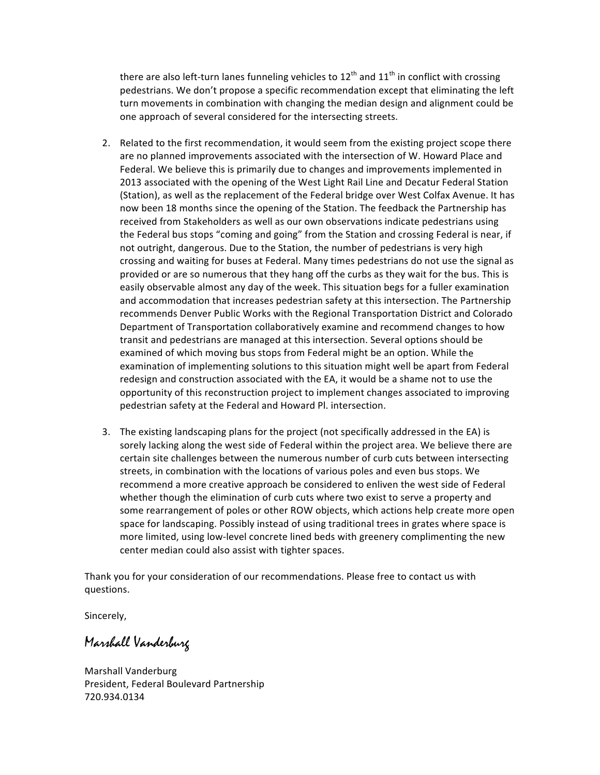there are also left-turn lanes funneling vehicles to 12<sup>th</sup> and 11<sup>th</sup> in conflict with crossing pedestrians. We don't propose a specific recommendation except that eliminating the left turn movements in combination with changing the median design and alignment could be one approach of several considered for the intersecting streets.

- 2. Related to the first recommendation, it would seem from the existing project scope there are no planned improvements associated with the intersection of W. Howard Place and Federal. We believe this is primarily due to changes and improvements implemented in 2013 associated with the opening of the West Light Rail Line and Decatur Federal Station (Station), as well as the replacement of the Federal bridge over West Colfax Avenue. It has now been 18 months since the opening of the Station. The feedback the Partnership has received from Stakeholders as well as our own observations indicate pedestrians using the Federal bus stops "coming and going" from the Station and crossing Federal is near, if not outright, dangerous. Due to the Station, the number of pedestrians is very high crossing and waiting for buses at Federal. Many times pedestrians do not use the signal as provided or are so numerous that they hang off the curbs as they wait for the bus. This is easily observable almost any day of the week. This situation begs for a fuller examination and accommodation that increases pedestrian safety at this intersection. The Partnership recommends Denver Public Works with the Regional Transportation District and Colorado Department of Transportation collaboratively examine and recommend changes to how transit and pedestrians are managed at this intersection. Several options should be examined of which moving bus stops from Federal might be an option. While the examination of implementing solutions to this situation might well be apart from Federal redesign and construction associated with the EA, it would be a shame not to use the opportunity of this reconstruction project to implement changes associated to improving pedestrian safety at the Federal and Howard Pl. intersection.
- 3. The existing landscaping plans for the project (not specifically addressed in the EA) is sorely lacking along the west side of Federal within the project area. We believe there are certain site challenges between the numerous number of curb cuts between intersecting streets, in combination with the locations of various poles and even bus stops. We recommend a more creative approach be considered to enliven the west side of Federal whether though the elimination of curb cuts where two exist to serve a property and some rearrangement of poles or other ROW objects, which actions help create more open space for landscaping. Possibly instead of using traditional trees in grates where space is more limited, using low-level concrete lined beds with greenery complimenting the new center median could also assist with tighter spaces.

Thank you for your consideration of our recommendations. Please free to contact us with questions.

Sincerely,

Marshall Vanderburg

Marshall Vanderburg President, Federal Boulevard Partnership 720.934.0134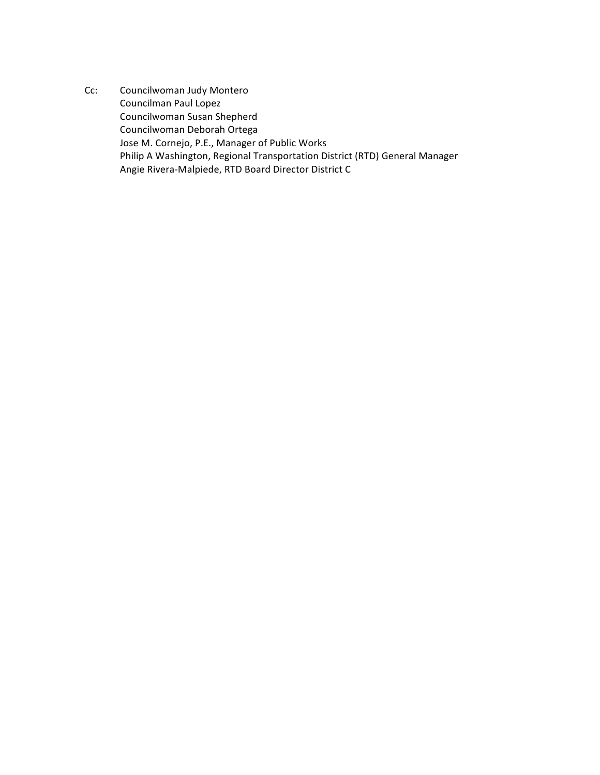Cc: Councilwoman Judy Montero Councilman Paul Lopez Councilwoman Susan Shepherd Councilwoman Deborah Ortega Jose M. Cornejo, P.E., Manager of Public Works Philip A Washington, Regional Transportation District (RTD) General Manager Angie Rivera-Malpiede, RTD Board Director District C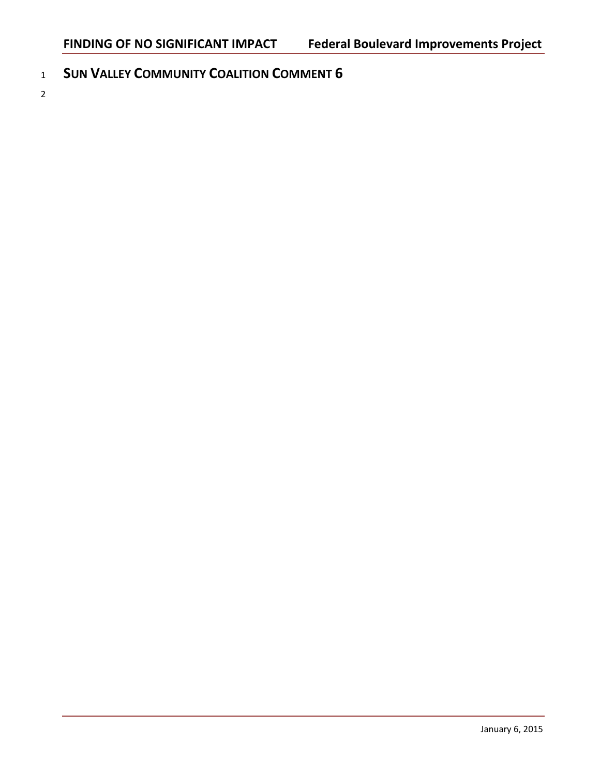- <sup>1</sup> **SUN VALLEY COMMUNITY COALITION COMMENT 6**
- <sup>2</sup>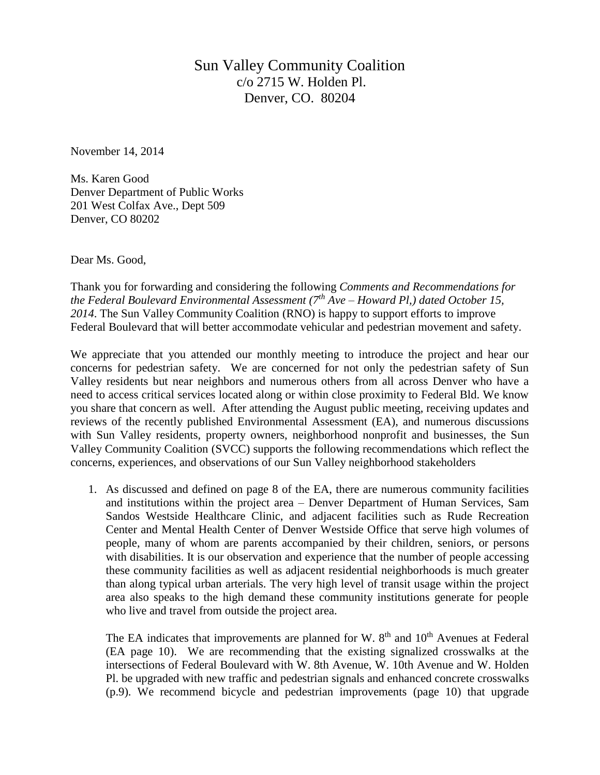Sun Valley Community Coalition c/o 2715 W. Holden Pl. Denver, CO. 80204

November 14, 2014

Ms. Karen Good Denver Department of Public Works 201 West Colfax Ave., Dept 509 Denver, CO 80202

Dear Ms. Good,

Thank you for forwarding and considering the following *Comments and Recommendations for the Federal Boulevard Environmental Assessment (7th Ave – Howard Pl,) dated October 15, 2014*. The Sun Valley Community Coalition (RNO) is happy to support efforts to improve Federal Boulevard that will better accommodate vehicular and pedestrian movement and safety.

We appreciate that you attended our monthly meeting to introduce the project and hear our concerns for pedestrian safety. We are concerned for not only the pedestrian safety of Sun Valley residents but near neighbors and numerous others from all across Denver who have a need to access critical services located along or within close proximity to Federal Bld. We know you share that concern as well. After attending the August public meeting, receiving updates and reviews of the recently published Environmental Assessment (EA), and numerous discussions with Sun Valley residents, property owners, neighborhood nonprofit and businesses, the Sun Valley Community Coalition (SVCC) supports the following recommendations which reflect the concerns, experiences, and observations of our Sun Valley neighborhood stakeholders

1. As discussed and defined on page 8 of the EA, there are numerous community facilities and institutions within the project area – Denver Department of Human Services, Sam Sandos Westside Healthcare Clinic, and adjacent facilities such as Rude Recreation Center and Mental Health Center of Denver Westside Office that serve high volumes of people, many of whom are parents accompanied by their children, seniors, or persons with disabilities. It is our observation and experience that the number of people accessing these community facilities as well as adjacent residential neighborhoods is much greater than along typical urban arterials. The very high level of transit usage within the project area also speaks to the high demand these community institutions generate for people who live and travel from outside the project area.

The EA indicates that improvements are planned for W.  $8<sup>th</sup>$  and  $10<sup>th</sup>$  Avenues at Federal (EA page 10). We are recommending that the existing signalized crosswalks at the intersections of Federal Boulevard with W. 8th Avenue, W. 10th Avenue and W. Holden Pl. be upgraded with new traffic and pedestrian signals and enhanced concrete crosswalks (p.9). We recommend bicycle and pedestrian improvements (page 10) that upgrade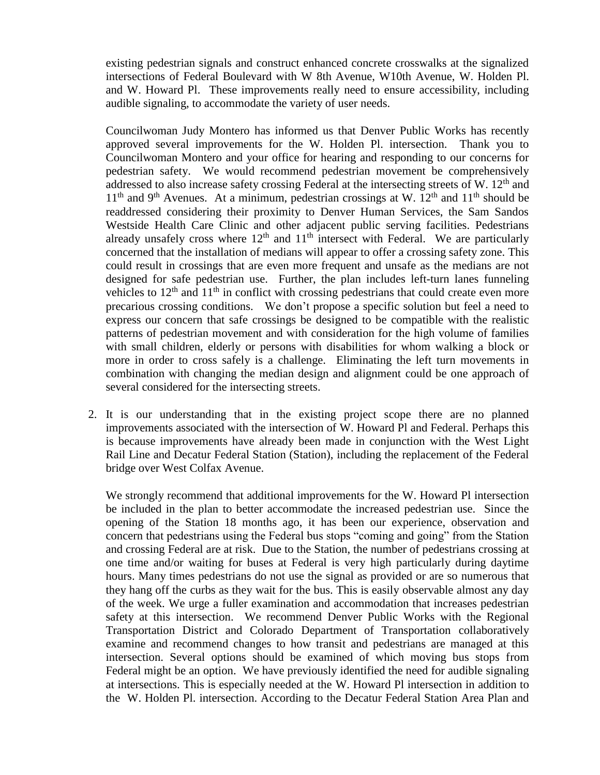existing pedestrian signals and construct enhanced concrete crosswalks at the signalized intersections of Federal Boulevard with W 8th Avenue, W10th Avenue, W. Holden Pl. and W. Howard Pl. These improvements really need to ensure accessibility, including audible signaling, to accommodate the variety of user needs.

Councilwoman Judy Montero has informed us that Denver Public Works has recently approved several improvements for the W. Holden Pl. intersection. Thank you to Councilwoman Montero and your office for hearing and responding to our concerns for pedestrian safety. We would recommend pedestrian movement be comprehensively addressed to also increase safety crossing Federal at the intersecting streets of W.  $12<sup>th</sup>$  and  $11<sup>th</sup>$  and 9<sup>th</sup> Avenues. At a minimum, pedestrian crossings at W.  $12<sup>th</sup>$  and  $11<sup>th</sup>$  should be readdressed considering their proximity to Denver Human Services, the Sam Sandos Westside Health Care Clinic and other adjacent public serving facilities. Pedestrians already unsafely cross where  $12<sup>th</sup>$  and  $11<sup>th</sup>$  intersect with Federal. We are particularly concerned that the installation of medians will appear to offer a crossing safety zone. This could result in crossings that are even more frequent and unsafe as the medians are not designed for safe pedestrian use. Further, the plan includes left-turn lanes funneling vehicles to  $12<sup>th</sup>$  and  $11<sup>th</sup>$  in conflict with crossing pedestrians that could create even more precarious crossing conditions. We don't propose a specific solution but feel a need to express our concern that safe crossings be designed to be compatible with the realistic patterns of pedestrian movement and with consideration for the high volume of families with small children, elderly or persons with disabilities for whom walking a block or more in order to cross safely is a challenge. Eliminating the left turn movements in combination with changing the median design and alignment could be one approach of several considered for the intersecting streets.

2. It is our understanding that in the existing project scope there are no planned improvements associated with the intersection of W. Howard Pl and Federal. Perhaps this is because improvements have already been made in conjunction with the West Light Rail Line and Decatur Federal Station (Station), including the replacement of the Federal bridge over West Colfax Avenue.

We strongly recommend that additional improvements for the W. Howard Pl intersection be included in the plan to better accommodate the increased pedestrian use. Since the opening of the Station 18 months ago, it has been our experience, observation and concern that pedestrians using the Federal bus stops "coming and going" from the Station and crossing Federal are at risk. Due to the Station, the number of pedestrians crossing at one time and/or waiting for buses at Federal is very high particularly during daytime hours. Many times pedestrians do not use the signal as provided or are so numerous that they hang off the curbs as they wait for the bus. This is easily observable almost any day of the week. We urge a fuller examination and accommodation that increases pedestrian safety at this intersection. We recommend Denver Public Works with the Regional Transportation District and Colorado Department of Transportation collaboratively examine and recommend changes to how transit and pedestrians are managed at this intersection. Several options should be examined of which moving bus stops from Federal might be an option. We have previously identified the need for audible signaling at intersections. This is especially needed at the W. Howard Pl intersection in addition to the W. Holden Pl. intersection. According to the Decatur Federal Station Area Plan and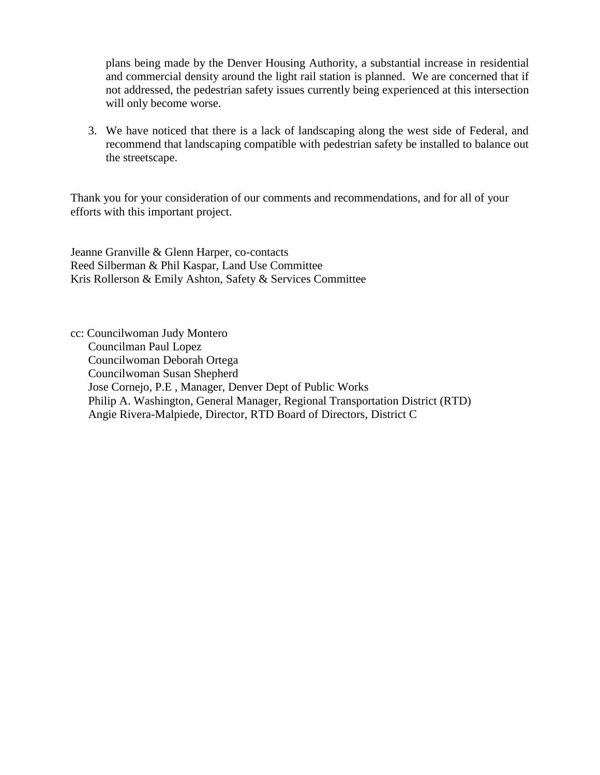plans being made by the Denver Housing Authority, a substantial increase in residential and commercial density around the light rail station is planned. We are concerned that if not addressed, the pedestrian safety issues currently being experienced at this intersection will only become worse.

3. We have noticed that there is a lack of landscaping along the west side of Federal, and recommend that landscaping compatible with pedestrian safety be installed to balance out the streetscape.

Thank you for your consideration of our comments and recommendations, and for all of your efforts with this important project.

Jeanne Granville & Glenn Harper, co-contacts Reed Silberman & Phil Kaspar, Land Use Committee Kris Rollerson & Emily Ashton, Safety & Services Committee

cc: Councilwoman Judy Montero Councilman Paul Lopez Councilwoman Deborah Ortega Councilwoman Susan Shepherd Jose Cornejo, P.E , Manager, Denver Dept of Public Works Philip A. Washington, General Manager, Regional Transportation District (RTD) Angie Rivera-Malpiede, Director, RTD Board of Directors, District C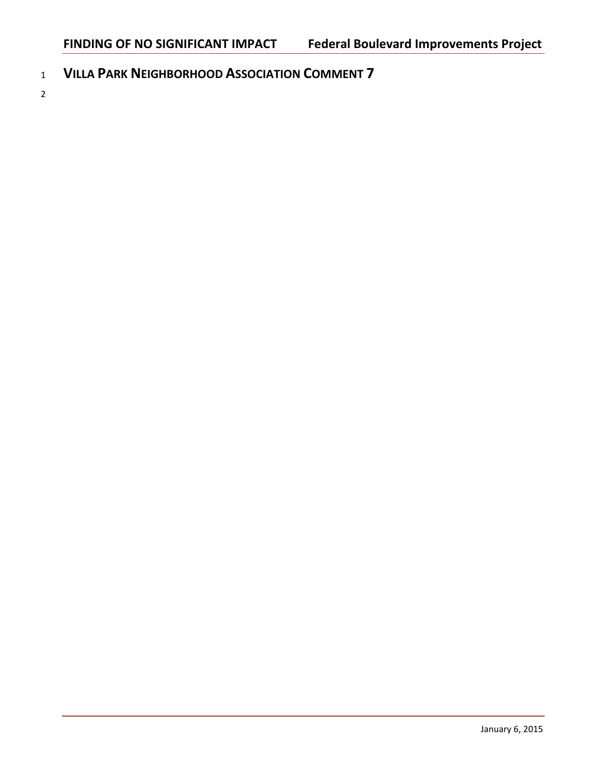- <sup>1</sup> **VILLA PARK NEIGHBORHOOD ASSOCIATION COMMENT 7**
- <sup>2</sup>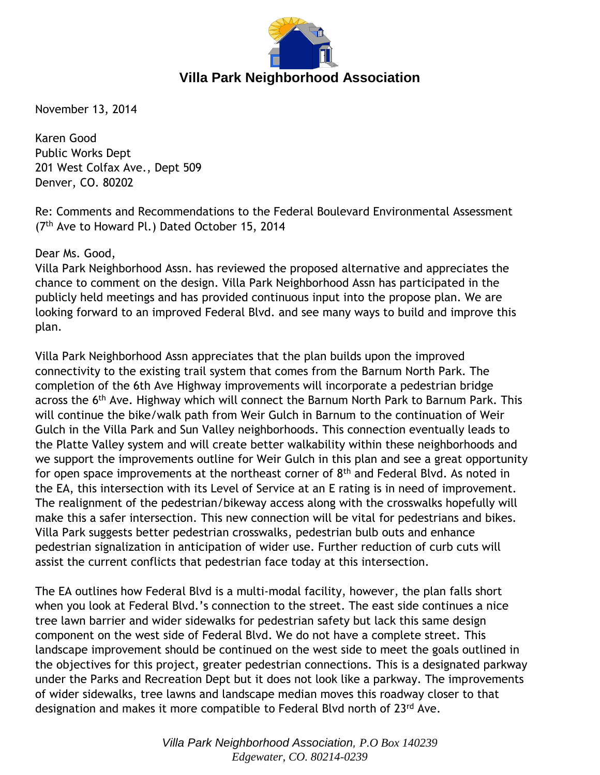

November 13, 2014

Karen Good Public Works Dept 201 West Colfax Ave., Dept 509 Denver, CO. 80202

Re: Comments and Recommendations to the Federal Boulevard Environmental Assessment (7th Ave to Howard Pl.) Dated October 15, 2014

Dear Ms. Good,

Villa Park Neighborhood Assn. has reviewed the proposed alternative and appreciates the chance to comment on the design. Villa Park Neighborhood Assn has participated in the publicly held meetings and has provided continuous input into the propose plan. We are looking forward to an improved Federal Blvd. and see many ways to build and improve this plan.

Villa Park Neighborhood Assn appreciates that the plan builds upon the improved connectivity to the existing trail system that comes from the Barnum North Park. The completion of the 6th Ave Highway improvements will incorporate a pedestrian bridge across the 6<sup>th</sup> Ave. Highway which will connect the Barnum North Park to Barnum Park. This will continue the bike/walk path from Weir Gulch in Barnum to the continuation of Weir Gulch in the Villa Park and Sun Valley neighborhoods. This connection eventually leads to the Platte Valley system and will create better walkability within these neighborhoods and we support the improvements outline for Weir Gulch in this plan and see a great opportunity for open space improvements at the northeast corner of 8<sup>th</sup> and Federal Blvd. As noted in the EA, this intersection with its Level of Service at an E rating is in need of improvement. The realignment of the pedestrian/bikeway access along with the crosswalks hopefully will make this a safer intersection. This new connection will be vital for pedestrians and bikes. Villa Park suggests better pedestrian crosswalks, pedestrian bulb outs and enhance pedestrian signalization in anticipation of wider use. Further reduction of curb cuts will assist the current conflicts that pedestrian face today at this intersection.

The EA outlines how Federal Blvd is a multi-modal facility, however, the plan falls short when you look at Federal Blvd.'s connection to the street. The east side continues a nice tree lawn barrier and wider sidewalks for pedestrian safety but lack this same design component on the west side of Federal Blvd. We do not have a complete street. This landscape improvement should be continued on the west side to meet the goals outlined in the objectives for this project, greater pedestrian connections. This is a designated parkway under the Parks and Recreation Dept but it does not look like a parkway. The improvements of wider sidewalks, tree lawns and landscape median moves this roadway closer to that designation and makes it more compatible to Federal Blvd north of 23rd Ave.

> *Villa Park Neighborhood Association, P.O Box 140239 Edgewater, CO. 80214-0239*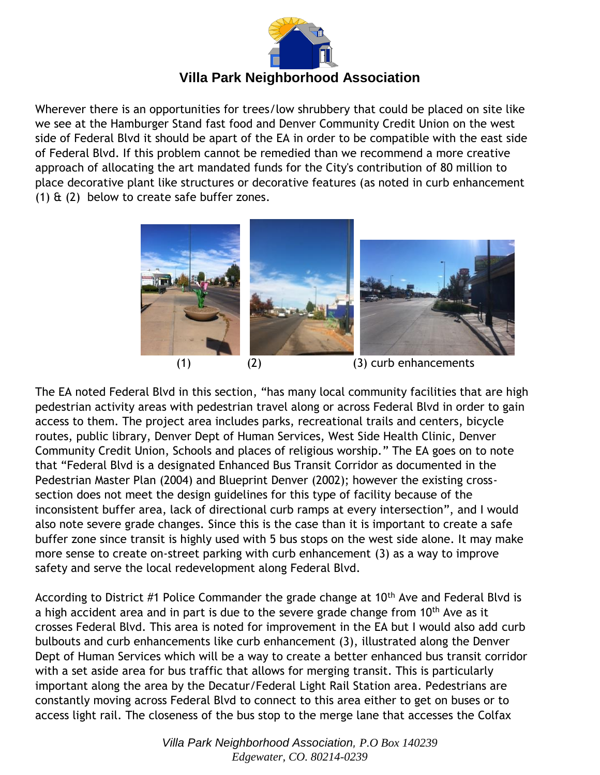

## **Villa Park Neighborhood Association**

Wherever there is an opportunities for trees/low shrubbery that could be placed on site like we see at the Hamburger Stand fast food and Denver Community Credit Union on the west side of Federal Blvd it should be apart of the EA in order to be compatible with the east side of Federal Blvd. If this problem cannot be remedied than we recommend a more creative approach of allocating the art mandated funds for the City's contribution of 80 million to place decorative plant like structures or decorative features (as noted in curb enhancement (1)  $\hat{a}$  (2) below to create safe buffer zones.



The EA noted Federal Blvd in this section, "has many local community facilities that are high pedestrian activity areas with pedestrian travel along or across Federal Blvd in order to gain access to them. The project area includes parks, recreational trails and centers, bicycle routes, public library, Denver Dept of Human Services, West Side Health Clinic, Denver Community Credit Union, Schools and places of religious worship." The EA goes on to note that "Federal Blvd is a designated Enhanced Bus Transit Corridor as documented in the Pedestrian Master Plan (2004) and Blueprint Denver (2002); however the existing crosssection does not meet the design guidelines for this type of facility because of the inconsistent buffer area, lack of directional curb ramps at every intersection", and I would also note severe grade changes. Since this is the case than it is important to create a safe buffer zone since transit is highly used with 5 bus stops on the west side alone. It may make more sense to create on-street parking with curb enhancement (3) as a way to improve safety and serve the local redevelopment along Federal Blvd.

According to District #1 Police Commander the grade change at  $10<sup>th</sup>$  Ave and Federal Blvd is a high accident area and in part is due to the severe grade change from 10<sup>th</sup> Ave as it crosses Federal Blvd. This area is noted for improvement in the EA but I would also add curb bulbouts and curb enhancements like curb enhancement (3), illustrated along the Denver Dept of Human Services which will be a way to create a better enhanced bus transit corridor with a set aside area for bus traffic that allows for merging transit. This is particularly important along the area by the Decatur/Federal Light Rail Station area. Pedestrians are constantly moving across Federal Blvd to connect to this area either to get on buses or to access light rail. The closeness of the bus stop to the merge lane that accesses the Colfax

> *Villa Park Neighborhood Association, P.O Box 140239 Edgewater, CO. 80214-0239*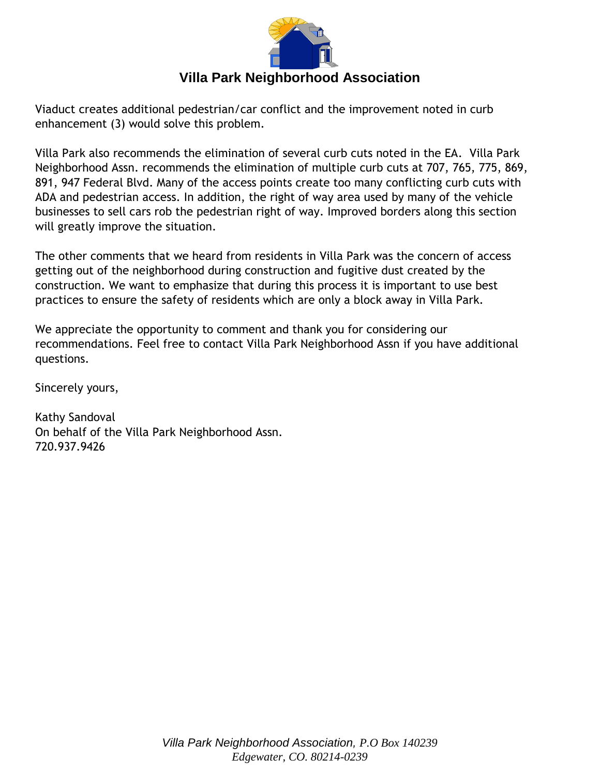

# **Villa Park Neighborhood Association**

Viaduct creates additional pedestrian/car conflict and the improvement noted in curb enhancement (3) would solve this problem.

Villa Park also recommends the elimination of several curb cuts noted in the EA. Villa Park Neighborhood Assn. recommends the elimination of multiple curb cuts at 707, 765, 775, 869, 891, 947 Federal Blvd. Many of the access points create too many conflicting curb cuts with ADA and pedestrian access. In addition, the right of way area used by many of the vehicle businesses to sell cars rob the pedestrian right of way. Improved borders along this section will greatly improve the situation.

The other comments that we heard from residents in Villa Park was the concern of access getting out of the neighborhood during construction and fugitive dust created by the construction. We want to emphasize that during this process it is important to use best practices to ensure the safety of residents which are only a block away in Villa Park.

We appreciate the opportunity to comment and thank you for considering our recommendations. Feel free to contact Villa Park Neighborhood Assn if you have additional questions.

Sincerely yours,

Kathy Sandoval On behalf of the Villa Park Neighborhood Assn. 720.937.9426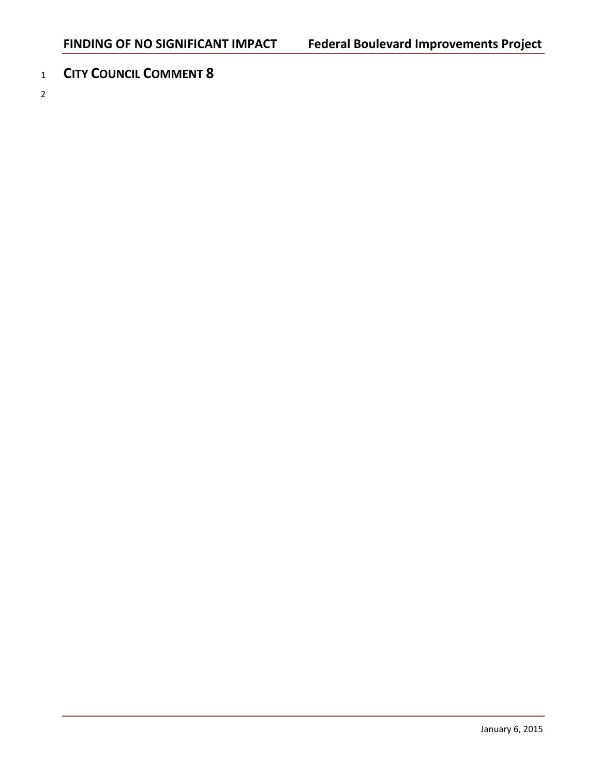<sup>1</sup> **CITY COUNCIL COMMENT 8**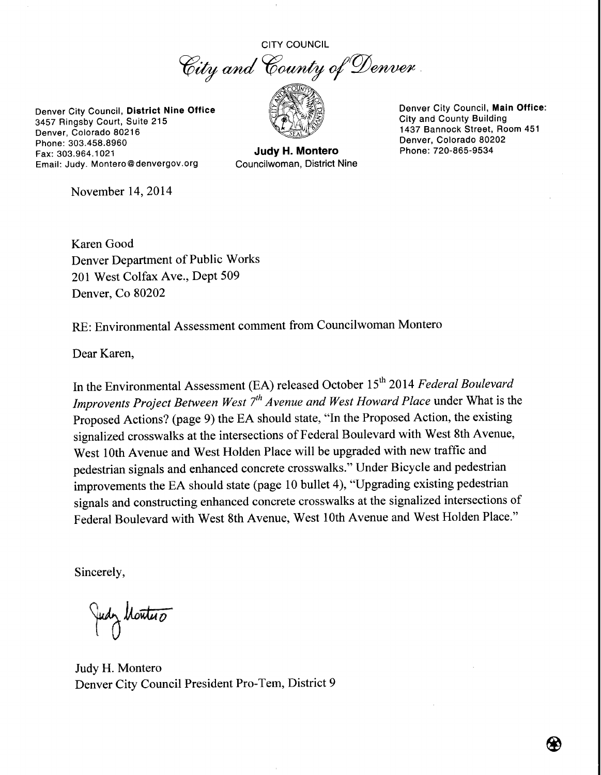**CITY COUNCIL** 



Denver City Council, District Nine Office 3457 Ringsby Court, Suite 215 Denver, Colorado 80216 Phone: 303.458.8960 Fax: 303.964.1021 Email: Judy. Montero@denvergov.org

November 14, 2014

Judy H. Montero

Councilwoman, District Nine

Denver City Council, Main Office: **City and County Building** 1437 Bannock Street, Room 451 Denver, Colorado 80202 Phone: 720-865-9534

Karen Good Denver Department of Public Works 201 West Colfax Ave., Dept 509 Denver, Co 80202

RE: Environmental Assessment comment from Councilwoman Montero

Dear Karen,

In the Environmental Assessment (EA) released October 15<sup>th</sup> 2014 Federal Boulevard Improvents Project Between West 7<sup>th</sup> Avenue and West Howard Place under What is the Proposed Actions? (page 9) the EA should state, "In the Proposed Action, the existing signalized crosswalks at the intersections of Federal Boulevard with West 8th Avenue, West 10th Avenue and West Holden Place will be upgraded with new traffic and pedestrian signals and enhanced concrete crosswalks." Under Bicycle and pedestrian improvements the EA should state (page 10 bullet 4), "Upgrading existing pedestrian signals and constructing enhanced concrete crosswalks at the signalized intersections of Federal Boulevard with West 8th Avenue, West 10th Avenue and West Holden Place."

Sincerely,

Judy Montero

Judy H. Montero Denver City Council President Pro-Tem, District 9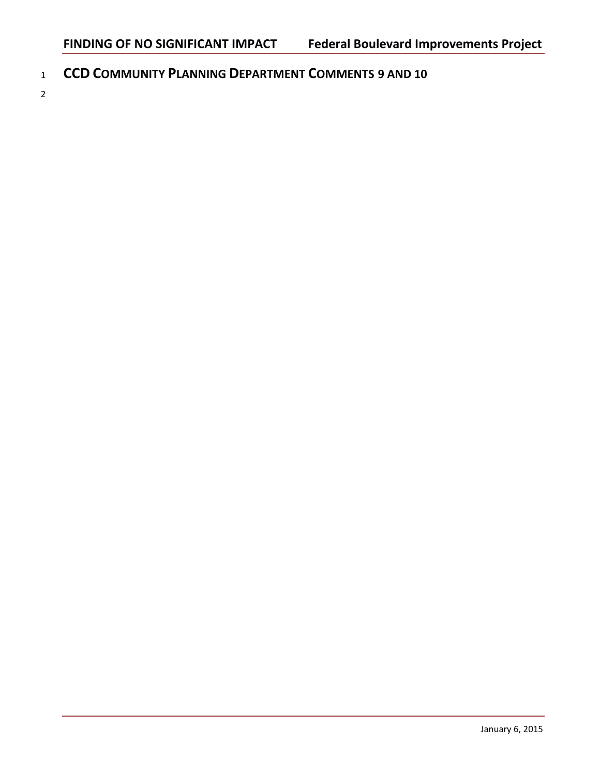<sup>1</sup> **CCD COMMUNITY PLANNING DEPARTMENT COMMENTS 9 AND 10**